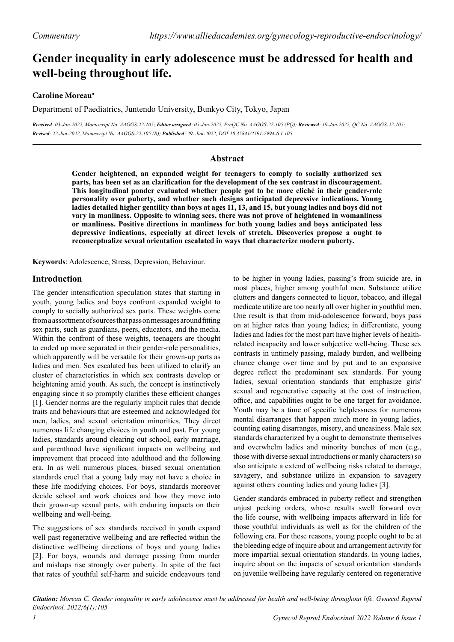# **Gender inequality in early adolescence must be addressed for health and well-being throughout life.**

# **Caroline Moreau\***

Department of Paediatrics, Juntendo University, Bunkyo City, Tokyo, Japan

*Received: 03-Jan-2022, Manuscript No. AAGGS-22-105; Editor assigned: 05-Jan-2022, PreQC No. AAGGS-22-105 (PQ); Reviewed: 19-Jan-2022, QC No. AAGGS-22-105; Revised: 22-Jan-2022, Manuscript No. AAGGS-22-105 (R); Published: 29- Jan-2022, DOI:10.35841/2591-7994-6.1.105* 

# **Abstract**

**Gender heightened, an expanded weight for teenagers to comply to socially authorized sex parts, has been set as an clarification for the development of the sex contrast in discouragement. This longitudinal ponder evaluated whether people got to be more cliché in their gender-role personality over puberty, and whether such designs anticipated depressive indications. Young ladies detailed higher gentility than boys at ages 11, 13, and 15, but young ladies and boys did not vary in manliness. Opposite to winning sees, there was not prove of heightened in womanliness or manliness. Positive directions in manliness for both young ladies and boys anticipated less depressive indications, especially at direct levels of stretch. Discoveries propose a ought to reconceptualize sexual orientation escalated in ways that characterize modern puberty.**

**Keywords**: Adolescence, Stress, Depression, Behaviour.

# **Introduction**

The gender intensification speculation states that starting in youth, young ladies and boys confront expanded weight to comply to socially authorized sex parts. These weights come from a assortment of sources that pass on messages around fitting sex parts, such as guardians, peers, educators, and the media. Within the confront of these weights, teenagers are thought to ended up more separated in their gender-role personalities, which apparently will be versatile for their grown-up parts as ladies and men. Sex escalated has been utilized to clarify an cluster of characteristics in which sex contrasts develop or heightening amid youth. As such, the concept is instinctively engaging since it so promptly clarifies these efficient changes [1]. Gender norms are the regularly implicit rules that decide traits and behaviours that are esteemed and acknowledged for men, ladies, and sexual orientation minorities. They direct numerous life changing choices in youth and past. For young ladies, standards around clearing out school, early marriage, and parenthood have significant impacts on wellbeing and improvement that proceed into adulthood and the following era. In as well numerous places, biased sexual orientation standards cruel that a young lady may not have a choice in these life modifying choices. For boys, standards moreover decide school and work choices and how they move into their grown-up sexual parts, with enduring impacts on their wellbeing and well-being.

The suggestions of sex standards received in youth expand well past regenerative wellbeing and are reflected within the distinctive wellbeing directions of boys and young ladies [2]. For boys, wounds and damage passing from murder and mishaps rise strongly over puberty. In spite of the fact that rates of youthful self-harm and suicide endeavours tend

to be higher in young ladies, passing's from suicide are, in most places, higher among youthful men. Substance utilize clutters and dangers connected to liquor, tobacco, and illegal medicate utilize are too nearly all over higher in youthful men. One result is that from mid-adolescence forward, boys pass on at higher rates than young ladies; in differentiate, young ladies and ladies for the most part have higher levels of healthrelated incapacity and lower subjective well-being. These sex contrasts in untimely passing, malady burden, and wellbeing chance change over time and by put and to an expansive degree reflect the predominant sex standards. For young ladies, sexual orientation standards that emphasize girls' sexual and regenerative capacity at the cost of instruction, office, and capabilities ought to be one target for avoidance. Youth may be a time of specific helplessness for numerous mental disarranges that happen much more in young ladies, counting eating disarranges, misery, and uneasiness. Male sex standards characterized by a ought to demonstrate themselves and overwhelm ladies and minority bunches of men (e.g., those with diverse sexual introductions or manly characters) so also anticipate a extend of wellbeing risks related to damage, savagery, and substance utilize in expansion to savagery against others counting ladies and young ladies [3].

Gender standards embraced in puberty reflect and strengthen unjust pecking orders, whose results swell forward over the life course, with wellbeing impacts afterward in life for those youthful individuals as well as for the children of the following era. For these reasons, young people ought to be at the bleeding edge of inquire about and arrangement activity for more impartial sexual orientation standards. In young ladies, inquire about on the impacts of sexual orientation standards on juvenile wellbeing have regularly centered on regenerative

*Citation: Moreau C. Gender inequality in early adolescence must be addressed for health and well-being throughout life. Gynecol Reprod Endocrinol. 2022;6(1):105*